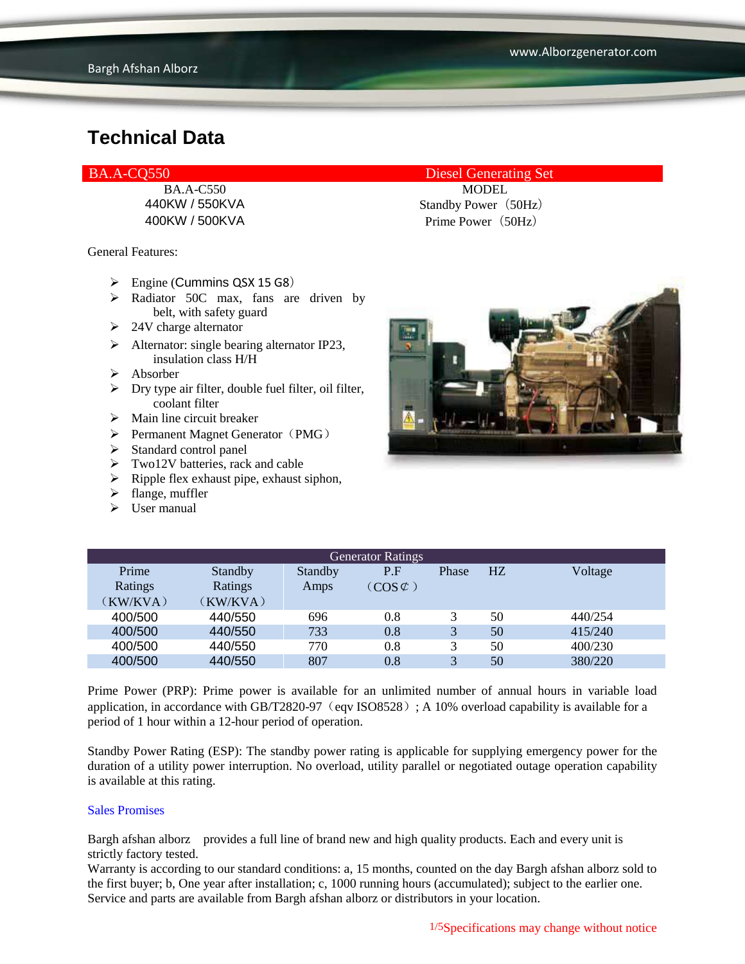#### BA.A-CO550 Diesel Generating Set

400KW / 500KVA Prime Power (50Hz)

General Features:

- $\triangleright$  Engine (Cummins QSX 15 G8)
- $\triangleright$  Radiator 50C max, fans are driven by belt, with safety guard
- $\geq 24V$  charge alternator
- $\triangleright$  Alternator: single bearing alternator IP23, insulation class H/H
- $\triangleright$  Absorber
- $\triangleright$  Dry type air filter, double fuel filter, oil filter, coolant filter
- $\triangleright$  Main line circuit breaker
- $\triangleright$  Permanent Magnet Generator (PMG)
- $\triangleright$  Standard control panel
- $\triangleright$  Two12V batteries, rack and cable
- $\triangleright$  Ripple flex exhaust pipe, exhaust siphon,
- $\blacktriangleright$  flange, muffler
- $\triangleright$  User manual

BA.A-C550 MODEL 440KW / 550KVA Standby Power (50Hz)



| <b>Generator Ratings</b> |                |         |                     |              |    |         |
|--------------------------|----------------|---------|---------------------|--------------|----|---------|
| Prime                    | <b>Standby</b> | Standby | P.F                 | Phase        | HZ | Voltage |
| Ratings                  | Ratings        | Amps    | $(COS \mathcal{C})$ |              |    |         |
| (KW/KVA)                 | (KW/KVA)       |         |                     |              |    |         |
| 400/500                  | 440/550        | 696     | 0.8                 |              | 50 | 440/254 |
| 400/500                  | 440/550        | 733     | 0.8                 | 3            | 50 | 415/240 |
| 400/500                  | 440/550        | 770     | 0.8                 |              | 50 | 400/230 |
| 400/500                  | 440/550        | 807     | 0.8                 | $\mathbf{R}$ | 50 | 380/220 |

Prime Power (PRP): Prime power is available for an unlimited number of annual hours in variable load application, in accordance with GB/T2820-97 (eqv ISO8528); A 10% overload capability is available for a period of 1 hour within a 12-hour period of operation.

Standby Power Rating (ESP): The standby power rating is applicable for supplying emergency power for the duration of a utility power interruption. No overload, utility parallel or negotiated outage operation capability is available at this rating.

#### Sales Promises

Bargh afshan alborz provides a full line of brand new and high quality products. Each and every unit is strictly factory tested.

Warranty is according to our standard conditions: a, 15 months, counted on the day Bargh afshan alborz sold to the first buyer; b, One year after installation; c, 1000 running hours (accumulated); subject to the earlier one. Service and parts are available from Bargh afshan alborz or distributors in your location.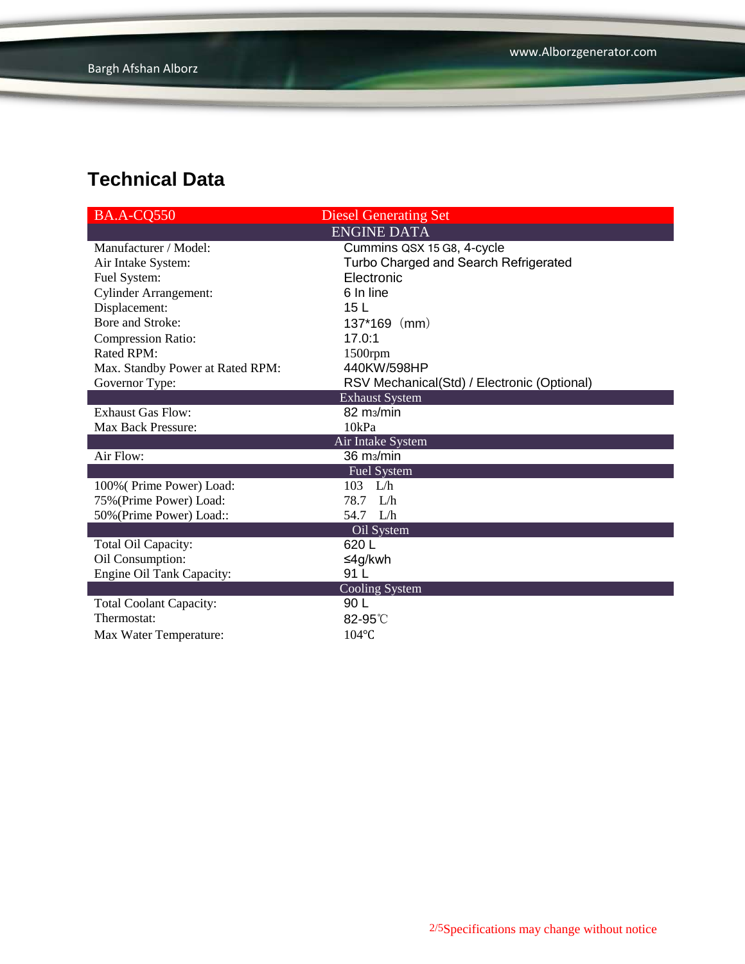| BA.A-CQ550                       | <b>Diesel Generating Set</b>                |
|----------------------------------|---------------------------------------------|
|                                  | <b>ENGINE DATA</b>                          |
| Manufacturer / Model:            | Cummins QSX 15 G8, 4-cycle                  |
| Air Intake System:               | Turbo Charged and Search Refrigerated       |
| Fuel System:                     | Electronic                                  |
| <b>Cylinder Arrangement:</b>     | 6 In line                                   |
| Displacement:                    | 15 <sub>L</sub>                             |
| Bore and Stroke:                 | $137*169$ (mm)                              |
| <b>Compression Ratio:</b>        | 17.0:1                                      |
| <b>Rated RPM:</b>                | $1500$ rpm                                  |
| Max. Standby Power at Rated RPM: | 440KW/598HP                                 |
| Governor Type:                   | RSV Mechanical(Std) / Electronic (Optional) |
|                                  | <b>Exhaust System</b>                       |
| <b>Exhaust Gas Flow:</b>         | 82 m <sub>3</sub> /min                      |
| <b>Max Back Pressure:</b>        | 10kPa                                       |
|                                  | Air Intake System                           |
| Air Flow:                        | 36 m <sub>3</sub> /min                      |
|                                  | Fuel System                                 |
| 100% (Prime Power) Load:         | $103$ L/h                                   |
| 75% (Prime Power) Load:          | 78.7 L/h                                    |
| 50% (Prime Power) Load::         | 54.7 L/h                                    |
|                                  | Oil System                                  |
| Total Oil Capacity:              | 620 L                                       |
| Oil Consumption:                 | ≤4g/kwh                                     |
| Engine Oil Tank Capacity:        | 91 L                                        |
|                                  | Cooling System                              |
| <b>Total Coolant Capacity:</b>   | 90 L                                        |
| Thermostat:                      | $82-95^\circ$                               |
| Max Water Temperature:           | $104$ °C                                    |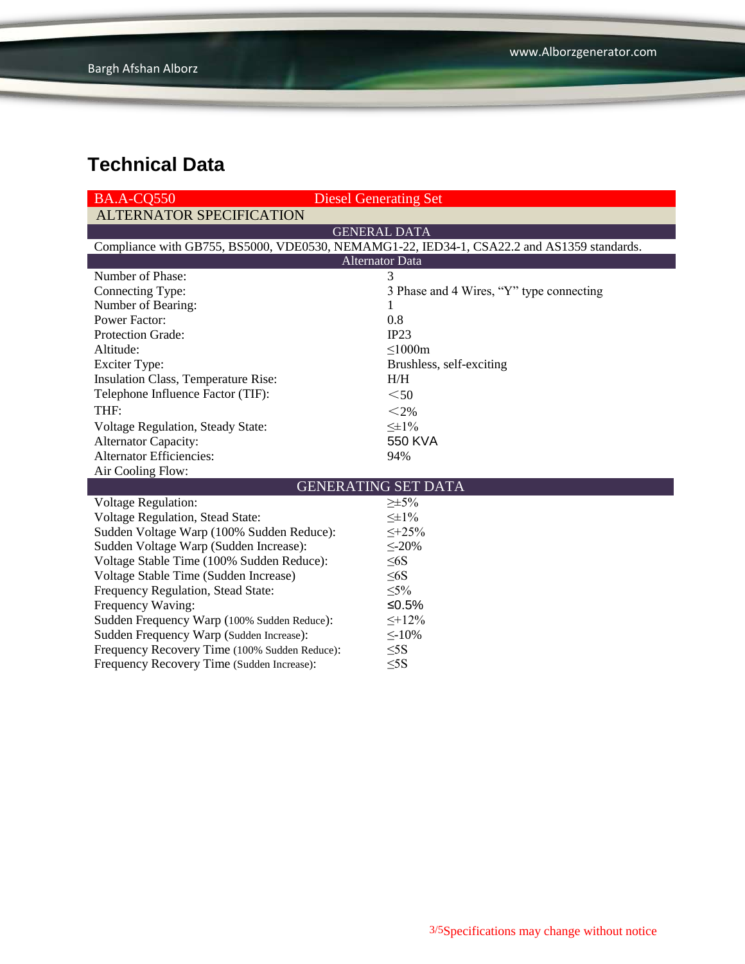| <b>BA.A-CO550</b>                                                                          | <b>Diesel Generating Set</b>             |  |  |  |  |  |
|--------------------------------------------------------------------------------------------|------------------------------------------|--|--|--|--|--|
| <b>ALTERNATOR SPECIFICATION</b>                                                            |                                          |  |  |  |  |  |
| <b>GENERAL DATA</b>                                                                        |                                          |  |  |  |  |  |
| Compliance with GB755, BS5000, VDE0530, NEMAMG1-22, IED34-1, CSA22.2 and AS1359 standards. |                                          |  |  |  |  |  |
| <b>Alternator Data</b>                                                                     |                                          |  |  |  |  |  |
| Number of Phase:                                                                           | 3                                        |  |  |  |  |  |
| Connecting Type:                                                                           | 3 Phase and 4 Wires, "Y" type connecting |  |  |  |  |  |
| Number of Bearing:                                                                         | 1                                        |  |  |  |  |  |
| <b>Power Factor:</b>                                                                       | 0.8                                      |  |  |  |  |  |
| Protection Grade:                                                                          | IP23                                     |  |  |  |  |  |
| Altitude:                                                                                  | $\leq$ 1000m                             |  |  |  |  |  |
| <b>Exciter Type:</b>                                                                       | Brushless, self-exciting                 |  |  |  |  |  |
| Insulation Class, Temperature Rise:                                                        | H/H                                      |  |  |  |  |  |
| Telephone Influence Factor (TIF):                                                          | $50$                                     |  |  |  |  |  |
| THF:                                                                                       | $<$ 2%                                   |  |  |  |  |  |
| <b>Voltage Regulation, Steady State:</b>                                                   | $\leq \pm 1\%$                           |  |  |  |  |  |
| <b>Alternator Capacity:</b>                                                                | 550 KVA                                  |  |  |  |  |  |
| <b>Alternator Efficiencies:</b>                                                            | 94%                                      |  |  |  |  |  |
| Air Cooling Flow:                                                                          |                                          |  |  |  |  |  |
| <b>GENERATING SET DATA</b>                                                                 |                                          |  |  |  |  |  |
| <b>Voltage Regulation:</b>                                                                 | $\geq \pm 5\%$                           |  |  |  |  |  |
| Voltage Regulation, Stead State:                                                           | $\leq \pm 1\%$                           |  |  |  |  |  |
| Sudden Voltage Warp (100% Sudden Reduce):                                                  | $\leq +25\%$                             |  |  |  |  |  |
| Sudden Voltage Warp (Sudden Increase):                                                     | $\leq 20\%$                              |  |  |  |  |  |
| Voltage Stable Time (100% Sudden Reduce):                                                  | $\leq 6S$                                |  |  |  |  |  |
| Voltage Stable Time (Sudden Increase)                                                      | $\leq 6S$                                |  |  |  |  |  |
| Frequency Regulation, Stead State:                                                         | $\leq 5\%$                               |  |  |  |  |  |
| Frequency Waving:                                                                          | ≤0.5%                                    |  |  |  |  |  |
| Sudden Frequency Warp (100% Sudden Reduce):                                                | $\leq +12\%$                             |  |  |  |  |  |
| Sudden Frequency Warp (Sudden Increase):                                                   | $\leq$ -10%                              |  |  |  |  |  |
| Frequency Recovery Time (100% Sudden Reduce):                                              | $\leq$ 5S                                |  |  |  |  |  |
| Frequency Recovery Time (Sudden Increase):                                                 | $\leq$ 5S                                |  |  |  |  |  |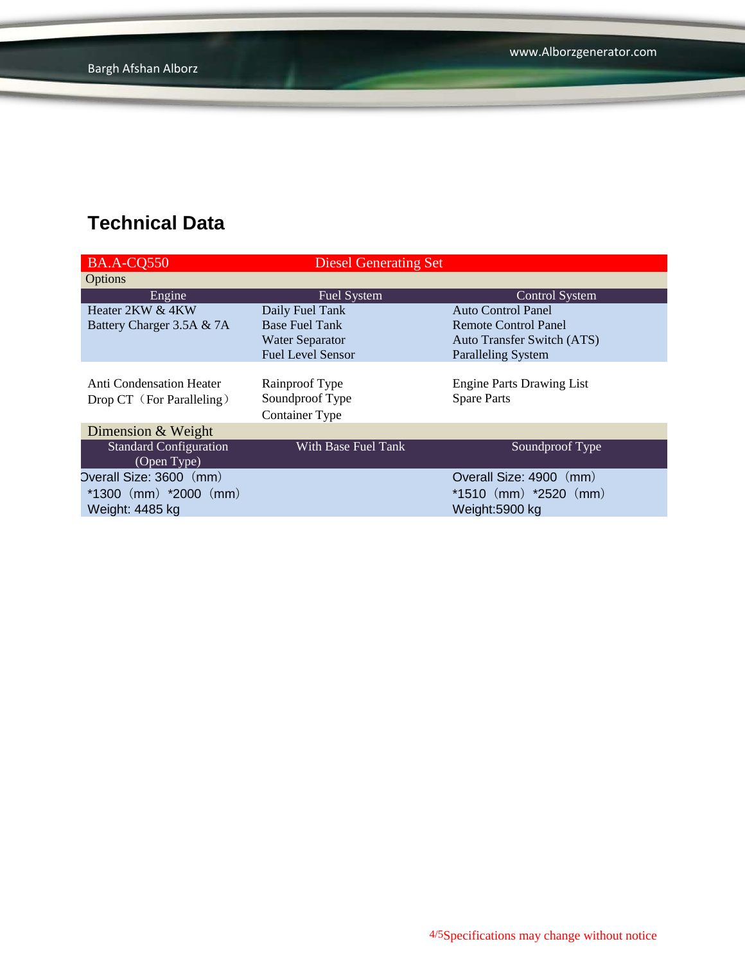| <b>BA.A-CQ550</b>               | <b>Diesel Generating Set</b> |                                   |
|---------------------------------|------------------------------|-----------------------------------|
| Options                         |                              |                                   |
| Engine                          | <b>Fuel System</b>           | <b>Control System</b>             |
| Heater 2KW & 4KW                | Daily Fuel Tank              | <b>Auto Control Panel</b>         |
| Battery Charger 3.5A & 7A       | <b>Base Fuel Tank</b>        | Remote Control Panel              |
|                                 | <b>Water Separator</b>       | <b>Auto Transfer Switch (ATS)</b> |
|                                 | <b>Fuel Level Sensor</b>     | <b>Paralleling System</b>         |
|                                 |                              |                                   |
| <b>Anti Condensation Heater</b> | Rainproof Type               | <b>Engine Parts Drawing List</b>  |
| Drop CT (For Paralleling)       | Soundproof Type              | <b>Spare Parts</b>                |
|                                 | <b>Container Type</b>        |                                   |
| Dimension & Weight              |                              |                                   |
| <b>Standard Configuration</b>   | With Base Fuel Tank          | Soundproof Type                   |
| (Open Type)                     |                              |                                   |
| Overall Size: 3600 (mm)         |                              | Overall Size: 4900 (mm)           |
| $*1300$ (mm) $*2000$ (mm)       |                              | $*1510$ (mm) $*2520$ (mm)         |
| Weight: 4485 kg                 |                              | Weight:5900 kg                    |